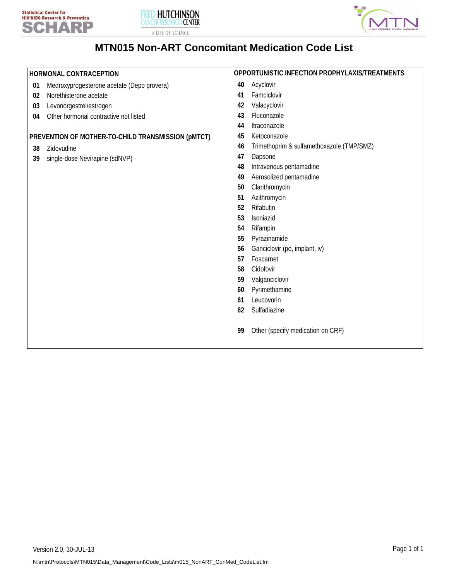





# **MTN015 Non-ART Concomitant Medication Code List**

| HORMONAL CONTRACEPTION     |                                                                                                                                                                                                              |                                                                                                    | OPPORTUNISTIC INFECTION PROPHYLAXIS/TREATMENTS                                                                                                                                                                                                                                                                         |  |
|----------------------------|--------------------------------------------------------------------------------------------------------------------------------------------------------------------------------------------------------------|----------------------------------------------------------------------------------------------------|------------------------------------------------------------------------------------------------------------------------------------------------------------------------------------------------------------------------------------------------------------------------------------------------------------------------|--|
| 01<br>02<br>03<br>04<br>38 | Medroxyprogesterone acetate (Depo provera)<br>Norethisterone acetate<br>Levonorgestrel/estrogen<br>Other hormonal contractive not listed<br>PREVENTION OF MOTHER-TO-CHILD TRANSMISSION (pMTCT)<br>Zidovudine | 40<br>41<br>42<br>43<br>44<br>45<br>46                                                             | Acyclovir<br>Famciclovir<br>Valacyclovir<br>Fluconazole<br>Itraconazole<br>Ketoconazole<br>Trimethoprim & sulfamethoxazole (TMP/SMZ)                                                                                                                                                                                   |  |
| 39                         | single-dose Nevirapine (sdNVP)                                                                                                                                                                               | 47<br>48<br>49<br>50<br>51<br>52<br>53<br>54<br>55<br>56<br>57<br>58<br>59<br>60<br>61<br>62<br>99 | Dapsone<br>Intravenous pentamadine<br>Aerosolized pentamadine<br>Clarithromycin<br>Azithromycin<br>Rifabutin<br>Isoniazid<br>Rifampin<br>Pyrazinamide<br>Ganciclovir (po, implant, iv)<br>Foscarnet<br>Cidofovir<br>Valganciclovir<br>Pyrimethamine<br>Leucovorin<br>Sulfadiazine<br>Other (specify medication on CRF) |  |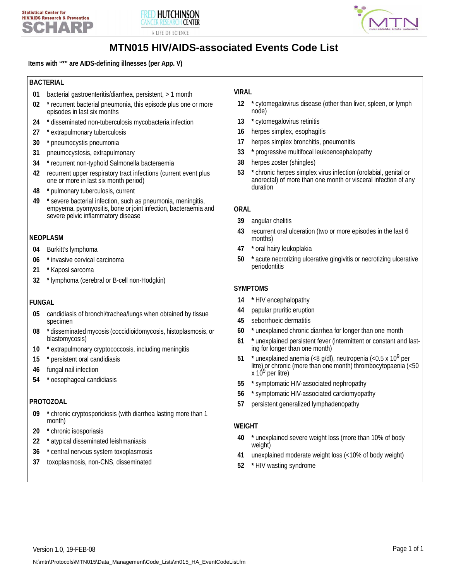



# **MTN015 HIV/AIDS-associated Events Code List**

**Items with "\*" are AIDS-defining illnesses (per App. V)**

#### **BACTERIAL**

- **01** bacterial gastroenteritis/diarrhea, persistent, > 1 month
- **02 \*** recurrent bacterial pneumonia, this episode plus one or more episodes in last six months
- **24 \*** disseminated non-tuberculosis mycobacteria infection
- **27 \*** extrapulmonary tuberculosis
- **30 \*** pneumocystis pneumonia
- **31** pneumocystosis, extrapulmonary
- **34 \*** recurrent non-typhoid Salmonella bacteraemia
- **42** recurrent upper respiratory tract infections (current event plus one or more in last six month period)
- **48 \*** pulmonary tuberculosis, current
- **49 \*** severe bacterial infection, such as pneumonia, meningitis, empyema, pyomyositis, bone or joint infection, bacteraemia and severe pelvic inflammatory disease

#### **NEOPLASM**

- **04** Burkitt's lymphoma
- **06 \*** invasive cervical carcinoma
- **21 \*** Kaposi sarcoma
- **32 \*** lymphoma (cerebral or B-cell non-Hodgkin)

### **FUNGAL**

- **05** candidiasis of bronchi/trachea/lungs when obtained by tissue specimen
- **08 \*** disseminated mycosis (coccidioidomycosis, histoplasmosis, or blastomycosis)
- **10 \*** extrapulmonary cryptococcosis, including meningitis
- **15 \*** persistent oral candidiasis
- **46** fungal nail infection
- **54 \*** oesophageal candidiasis

### **PROTOZOAL**

- **09 \*** chronic cryptosporidiosis (with diarrhea lasting more than 1 month)
- **20 \*** chronic isosporiasis
- **22 \*** atypical disseminated leishmaniasis
- **36 \*** central nervous system toxoplasmosis
- **37** toxoplasmosis, non-CNS, disseminated

## **VIRAL**

- **12 \*** cytomegalovirus disease (other than liver, spleen, or lymph node)
- **13 \*** cytomegalovirus retinitis
- **16** herpes simplex, esophagitis
- **17** herpes simplex bronchitis, pneumonitis
- **33 \*** progressive multifocal leukoencephalopathy
- **38** herpes zoster (shingles)
- **53 \*** chronic herpes simplex virus infection (orolabial, genital or anorectal) of more than one month or visceral infection of any duration

#### **ORAL**

- **39** angular chelitis
- **43** recurrent oral ulceration (two or more episodes in the last 6 months)
- **47 \*** oral hairy leukoplakia
- **50 \*** acute necrotizing ulcerative gingivitis or necrotizing ulcerative periodontitis

#### **SYMPTOMS**

- **14 \*** HIV encephalopathy
- **44** papular pruritic eruption
- **45** seborrhoeic dermatitis
- **60 \*** unexplained chronic diarrhea for longer than one month
- **61 \*** unexplained persistent fever (intermittent or constant and lasting for longer than one month)
- 51 \* unexplained anemia (<8 g/dl), neutropenia (<0.5 x 10<sup>9</sup> per litre) or chronic (more than one month) thrombocytopaenia (<50  $x 10<sup>9</sup>$  per litre)
- **55 \*** symptomatic HIV-associated nephropathy
- **56 \*** symptomatic HIV-associated cardiomyopathy
- **57** persistent generalized lymphadenopathy

#### **WEIGHT**

- **40 \*** unexplained severe weight loss (more than 10% of body weight)
- **41** unexplained moderate weight loss (<10% of body weight)
- **52 \*** HIV wasting syndrome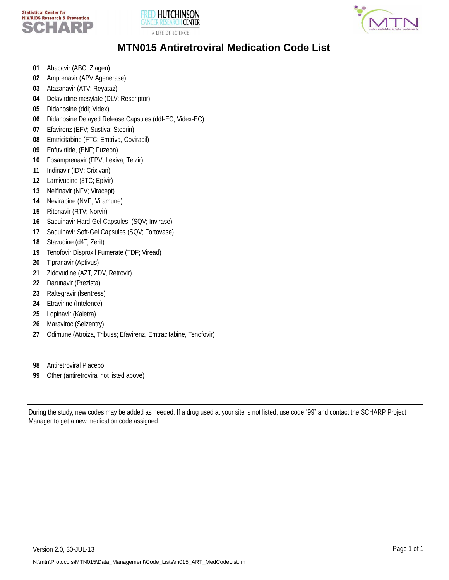





## **MTN015 Antiretroviral Medication Code List**

| 01 | Abacavir (ABC; Ziagen)                                          |  |
|----|-----------------------------------------------------------------|--|
| 02 | Amprenavir (APV; Agenerase)                                     |  |
| 03 | Atazanavir (ATV; Reyataz)                                       |  |
| 04 | Delavirdine mesylate (DLV; Rescriptor)                          |  |
| 05 | Didanosine (ddl; Videx)                                         |  |
| 06 | Didanosine Delayed Release Capsules (ddl-EC; Videx-EC)          |  |
| 07 | Efavirenz (EFV; Sustiva; Stocrin)                               |  |
| 08 | Emtricitabine (FTC; Emtriva, Coviracil)                         |  |
| 09 | Enfuvirtide, (ENF; Fuzeon)                                      |  |
| 10 | Fosamprenavir (FPV; Lexiva; Telzir)                             |  |
| 11 | Indinavir (IDV; Crixivan)                                       |  |
| 12 | Lamivudine (3TC; Epivir)                                        |  |
| 13 | Nelfinavir (NFV; Viracept)                                      |  |
| 14 | Nevirapine (NVP; Viramune)                                      |  |
| 15 | Ritonavir (RTV; Norvir)                                         |  |
| 16 | Saquinavir Hard-Gel Capsules (SQV; Invirase)                    |  |
| 17 | Saquinavir Soft-Gel Capsules (SQV; Fortovase)                   |  |
| 18 | Stavudine (d4T; Zerit)                                          |  |
| 19 | Tenofovir Disproxil Fumerate (TDF; Viread)                      |  |
| 20 | Tipranavir (Aptivus)                                            |  |
| 21 | Zidovudine (AZT, ZDV, Retrovir)                                 |  |
| 22 | Darunavir (Prezista)                                            |  |
| 23 | Raltegravir (Isentress)                                         |  |
| 24 | Etravirine (Intelence)                                          |  |
| 25 | Lopinavir (Kaletra)                                             |  |
| 26 | Maraviroc (Selzentry)                                           |  |
| 27 | Odimune (Atroiza, Tribuss; Efavirenz, Emtracitabine, Tenofovir) |  |
|    |                                                                 |  |
|    |                                                                 |  |
| 98 | Antiretroviral Placebo                                          |  |
| 99 | Other (antiretroviral not listed above)                         |  |
|    |                                                                 |  |
|    |                                                                 |  |

During the study, new codes may be added as needed. If a drug used at your site is not listed, use code "99" and contact the SCHARP Project Manager to get a new medication code assigned.